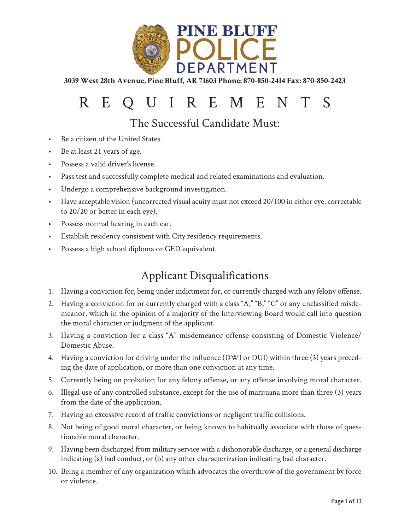

# REQUIREMENTS

The Successful Candidate Must:

- Be a citizen of the United States.
- Be at least 21 years of age.
- Possess a valid driver's license.
- Pass test and successfully complete medical and related examinations and evaluation.
- Undergo a comprehensive background investigation.
- Have acceptable vision (uncorrected visual acuity must not exceed 20/100 in either eye, correctable to 20/20 or better in each eye).
- Possess normal hearing in each ear.
- Establish residency consistent with City residency requirements.
- Possess a high school diploma or GED equivalent.

### Applicant Disqualifications

- 1. Having a conviction for, being under indictment for, or currently charged with any felony offense.
- 2. Having a conviction for or currently charged with a class "A," "B," "C" or any unclassified misdemeanor, which in the opinion of a majority of the Interviewing Board would call into question the moral character or judgment of the applicant.
- 3. Having a conviction for a class "A" misdemeanor offense consisting of Domestic Violence/ Domestic Abuse.
- 4. Having a conviction for driving under the influence (DWI or DUI) within three (3) years preceding the date of application, or more than one conviction at any time.
- 5. Currently being on probation for any felony offense, or any offense involving moral character.
- 6. Illegal use of any controlled substance, except for the use of marijuana more than three (3) years from the date of the application.
- 7. Having an excessive record of traffic convictions or negligent traffic collisions.
- 8. Not being of good moral character, or being known to habitually associate with those of questionable moral character.
- 9. Having been discharged from military service with a dishonorable discharge, or a general discharge indicating (a) bad conduct, or (b) any other characterization indicating bad character.
- 10. Being a member of any organization which advocates the overthrow of the government by force or violence.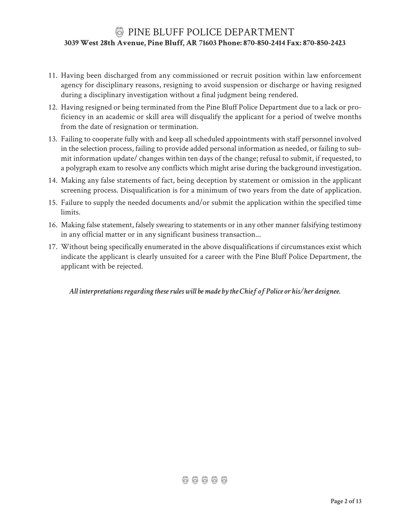- 11. Having been discharged from any commissioned or recruit position within law enforcement agency for disciplinary reasons, resigning to avoid suspension or discharge or having resigned during a disciplinary investigation without a final judgment being rendered.
- 12. Having resigned or being terminated from the Pine Bluff Police Department due to a lack or proficiency in an academic or skill area will disqualify the applicant for a period of twelve months from the date of resignation or termination.
- 13. Failing to cooperate fully with and keep all scheduled appointments with staff personnel involved in the selection process, failing to provide added personal information as needed, or failing to submit information update/ changes within ten days of the change; refusal to submit, if requested, to a polygraph exam to resolve any conflicts which might arise during the background investigation.
- 14. Making any false statements of fact, being deception by statement or omission in the applicant screening process. Disqualification is for a minimum of two years from the date of application.
- 15. Failure to supply the needed documents and/or submit the application within the specified time limits.
- 16. Making false statement, falsely swearing to statements or in any other manner falsifying testimony in any official matter or in any significant business transaction...
- 17. Without being specifically enumerated in the above disqualifications if circumstances exist which indicate the applicant is clearly unsuited for a career with the Pine Bluff Police Department, the applicant with be rejected.

*All interpretations regarding these rules will be made by the Chief of Police or his/her designee.*

 $a$   $a$   $b$   $c$   $b$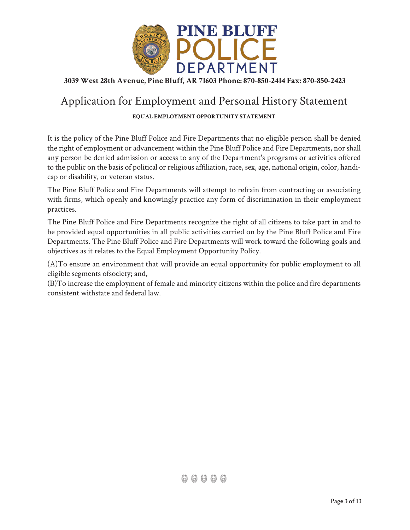

### Application for Employment and Personal History Statement

#### **EQUAL EMPLOYMENT OPPORTUNITY STATEMENT**

It is the policy of the Pine Bluff Police and Fire Departments that no eligible person shall be denied the right of employment or advancement within the Pine Bluff Police and Fire Departments, nor shall any person be denied admission or access to any of the Department's programs or activities offered to the public on the basis of political or religious affiliation, race, sex, age, national origin, color, handicap or disability, or veteran status.

The Pine Bluff Police and Fire Departments will attempt to refrain from contracting or associating with firms, which openly and knowingly practice any form of discrimination in their employment practices.

The Pine Bluff Police and Fire Departments recognize the right of all citizens to take part in and to be provided equal opportunities in all public activities carried on by the Pine Bluff Police and Fire Departments. The Pine Bluff Police and Fire Departments will work toward the following goals and objectives as it relates to the Equal Employment Opportunity Policy.

(A)To ensure an environment that will provide an equal opportunity for public employment to all eligible segments ofsociety; and,

(B)To increase the employment of female and minority citizens within the police and fire departments consistent withstate and federal law.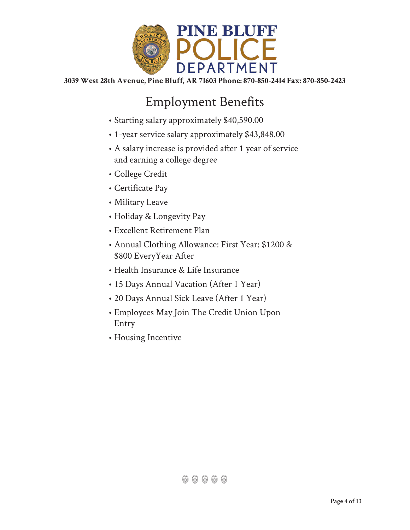

## Employment Benefits

- Starting salary approximately \$40,590.00
- 1-year service salary approximately \$43,848.00
- A salary increase is provided after 1 year of service and earning a college degree
- College Credit
- Certificate Pay
- Military Leave
- Holiday & Longevity Pay
- Excellent Retirement Plan
- Annual Clothing Allowance: First Year: \$1200 & \$800 EveryYear After
- Health Insurance & Life Insurance
- 15 Days Annual Vacation (After 1 Year)
- 20 Days Annual Sick Leave (After 1 Year)
- Employees May Join The Credit Union Upon Entry
- Housing Incentive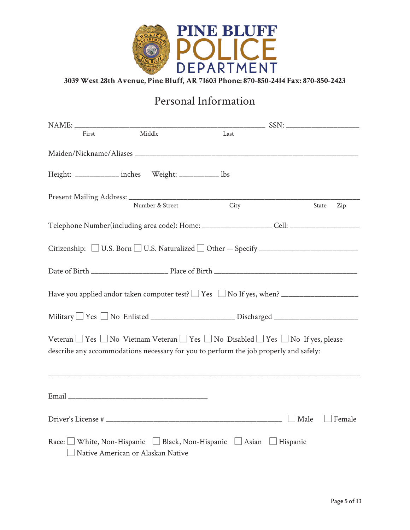

### Personal Information

| First | Middle                                                                                                                                                                                                  | Last |             |               |
|-------|---------------------------------------------------------------------------------------------------------------------------------------------------------------------------------------------------------|------|-------------|---------------|
|       |                                                                                                                                                                                                         |      |             |               |
|       | Height: _____________ inches Weight: ___________ lbs                                                                                                                                                    |      |             |               |
|       | Number & Street                                                                                                                                                                                         | City |             | State<br>Zip  |
|       | Telephone Number(including area code): Home: _____________________Cell: ____________________________                                                                                                    |      |             |               |
|       | Citizenship: □ U.S. Born □ U.S. Naturalized □ Other - Specify _________________________                                                                                                                 |      |             |               |
|       |                                                                                                                                                                                                         |      |             |               |
|       |                                                                                                                                                                                                         |      |             |               |
|       | Military TYes No Enlisted ______________________Discharged _____________________                                                                                                                        |      |             |               |
|       | Veteran $\Box$ Yes $\Box$ No Vietnam Veteran $\Box$ Yes $\Box$ No Disabled $\Box$ Yes $\Box$ No If yes, please<br>describe any accommodations necessary for you to perform the job properly and safely: |      |             |               |
|       |                                                                                                                                                                                                         |      |             |               |
|       |                                                                                                                                                                                                         |      | $\Box$ Male | $\Box$ Female |
|       | Race: White, Non-Hispanic Black, Non-Hispanic Asian Hispanic<br>Native American or Alaskan Native                                                                                                       |      |             |               |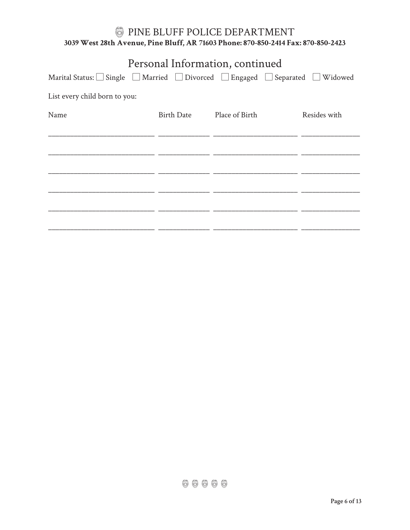| Personal Information, continued                                   |                   |                |              |  |  |  |  |
|-------------------------------------------------------------------|-------------------|----------------|--------------|--|--|--|--|
| Marital Status: Single Married Divorced Engaged Separated Widowed |                   |                |              |  |  |  |  |
| List every child born to you:                                     |                   |                |              |  |  |  |  |
| Name                                                              | <b>Birth Date</b> | Place of Birth | Resides with |  |  |  |  |
|                                                                   |                   |                |              |  |  |  |  |
|                                                                   |                   |                |              |  |  |  |  |
|                                                                   |                   |                |              |  |  |  |  |
|                                                                   |                   |                |              |  |  |  |  |
|                                                                   |                   |                |              |  |  |  |  |
|                                                                   |                   |                |              |  |  |  |  |
|                                                                   |                   |                |              |  |  |  |  |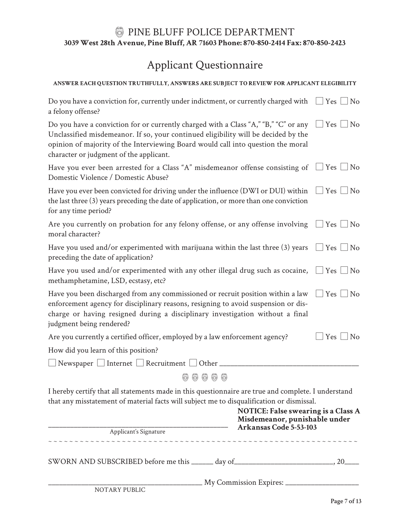## Applicant Questionnaire

#### **ANSWER EACH QUESTION TRUTHFULLY, ANSWERS ARE SUBJECT TO REVIEW FOR APPLICANT ELEGIBILITY**

| Do you have a conviction for, currently under indictment, or currently charged with $\Box$ Yes $\Box$ No<br>a felony offense?                                                                                                                                                                            |                      |
|----------------------------------------------------------------------------------------------------------------------------------------------------------------------------------------------------------------------------------------------------------------------------------------------------------|----------------------|
| Do you have a conviction for or currently charged with a Class "A," "B," "C" or any<br>Unclassified misdemeanor. If so, your continued eligibility will be decided by the<br>opinion of majority of the Interviewing Board would call into question the moral<br>character or judgment of the applicant. | $\Box$ Yes $\Box$ No |
| Have you ever been arrested for a Class "A" misdemeanor offense consisting of $\Box$ Yes $\Box$ No<br>Domestic Violence / Domestic Abuse?                                                                                                                                                                |                      |
| Have you ever been convicted for driving under the influence (DWI or DUI) within<br>the last three (3) years preceding the date of application, or more than one conviction<br>for any time period?                                                                                                      | $\Box$ Yes $\Box$ No |
| Are you currently on probation for any felony offense, or any offense involving $\Box$ Yes $\Box$ No<br>moral character?                                                                                                                                                                                 |                      |
| Have you used and/or experimented with marijuana within the last three (3) years $\Box$ Yes $\Box$ No<br>preceding the date of application?                                                                                                                                                              |                      |
| Have you used and/or experimented with any other illegal drug such as cocaine, $\Box$ Yes $\Box$ No<br>methamphetamine, LSD, ecstasy, etc?                                                                                                                                                               |                      |
| Have you been discharged from any commissioned or recruit position within a law<br>enforcement agency for disciplinary reasons, resigning to avoid suspension or dis-<br>charge or having resigned during a disciplinary investigation without a final<br>judgment being rendered?                       | $\Box$ Yes $\Box$ No |
| Are you currently a certified officer, employed by a law enforcement agency?                                                                                                                                                                                                                             | $Yes \Box No$        |
| How did you learn of this position?                                                                                                                                                                                                                                                                      |                      |
| $\Box$ Newspaper $\Box$ Internet $\Box$ Recruitment $\Box$ Other $\Box$                                                                                                                                                                                                                                  |                      |
| 66666                                                                                                                                                                                                                                                                                                    |                      |
| I hereby certify that all statements made in this questionnaire are true and complete. I understand<br>that any misstatement of material facts will subject me to disqualification or dismissal.<br><b>NOTICE: False swearing is a Class A</b><br>Misdemeanor, punishable under                          |                      |
| Arkansas Code 5-53-103<br>$\overline{\phantom{0}}$<br>Applicant's Signature                                                                                                                                                                                                                              |                      |
|                                                                                                                                                                                                                                                                                                          |                      |
| SWORN AND SUBSCRIBED before me this _______ day of_______________________________, 20_____                                                                                                                                                                                                               |                      |

\_\_\_\_\_\_\_\_\_\_\_\_\_\_\_\_\_\_\_\_\_\_\_\_\_\_\_\_\_\_\_\_\_\_\_\_\_\_\_\_\_\_ My Commission Expires: \_\_\_\_\_\_\_\_\_\_\_\_\_\_\_\_\_\_\_\_

NOTARY PUBLIC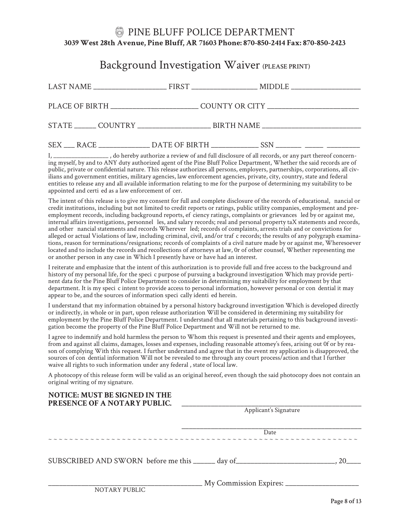### Background Investigation Waiver (PLEASE PRINT)

|  | PLACE OF BIRTH _____________________________COUNTY OR CITY _____________________ |  |
|--|----------------------------------------------------------------------------------|--|
|  |                                                                                  |  |
|  |                                                                                  |  |

., do hereby authorize a review of and full disclosure of all records, or any part thereof concerning myself, by and to ANY duty authorized agent of the Pine Bluff Police Department, Whether the said records are of public, private or confidential nature. This release authorizes all persons, employers, partnerships, corporations, all civilians and government entities, military agencies, law enforcement agencies, private, city, country, state and federal entities to release any and all available information relating to me for the purpose of determining my suitability to be appointed and certi ed as a law enforcement of cer.

The intent of this release is to give my consent for full and complete disclosure of the records of educational, nancial or credit institutions, including but not limited to credit reports or ratings, public utility companies, employment and preemployment records, including background reports, ef ciency ratings, complaints or grievances led by or against me, internal affairs investigations, personnel les, and salary records; real and personal property taX statements and records, and other nancial statements and records Wherever led; records of complaints, arrests trials and or convictions for alleged or actual Violations of law, including criminal, civil, and/or traf c records; the results of any polygraph examinations, reason for terminations/resignations; records of complaints of a civil nature made by or against me, Wheresoever located and to include the records and recollections of attorneys at law, 0r of other counsel, Whether representing me or another person in any case in Which I presently have or have had an interest.

I reiterate and emphasize that the intent of this authorization is to provide full and free access to the background and history of my personal life, for the specic purpose of pursuing a background investigation Which may provide pertinent data for the Pine Bluff Police Department to consider in determining my suitability for employment by that department. It is my specic intent to provide access to personal information, however personal or condential it may appear to be, and the sources of information specically identied herein.

I understand that my information obtained by a personal history background investigation Which is developed directly or indirectly, in whole or in part, upon release authorization Will be considered in determining my suitability for employment by the Pine Bluff Police Department. I understand that all materials pertaining to this background investigation become the property of the Pine Bluff Police Department and Will not be returned to me.

I agree to indemnify and hold harmless the person to Whom this request is presented and their agents and employees, from and against all claims, damages, losses and expenses, including reasonable attomey's fees, arising out 0f or by reason of complying With this request. I further understand and agree that in the event my application is disapproved, the sources of condential information Will not be revealed to me through any court process/action and that I further waive all rights to such information under any federal , state of local law.

A photocopy of this release form will be valid as an original hereof, even though the said photocopy does not contain an original writing of my signature.

| <b>NOTICE: MUST BE SIGNED IN THE</b><br>PRESENCE OF A NOTARY PUBLIC. |                                                                                        |  |  |
|----------------------------------------------------------------------|----------------------------------------------------------------------------------------|--|--|
|                                                                      | Applicant's Signature                                                                  |  |  |
|                                                                      | Date                                                                                   |  |  |
|                                                                      | SUBSCRIBED AND SWORN before me this _____ day of________________________________<br>20 |  |  |
| NOTARY PUBLIC                                                        | My Commission Expires:                                                                 |  |  |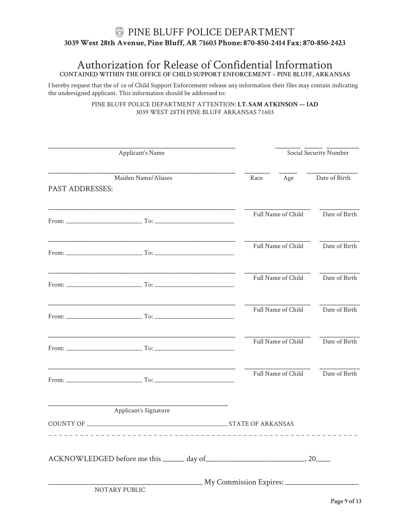#### Authorization for Release of Confidential Information **CONTAINED WITHIN THE OFFICE OF CHILD SUPPORT ENFORCEMENT – PINE BLUFF, ARKANSAS**

I hereby request that the of ce of Child Support Enforcement release any information their files may contain indicating the undersigned applicant. This information should be addressed to:

> PINE BLUFF POLICE DEPARTMENT ATTENTION: **LT. SAM ATKINSON — IAD** 3039 WEST 28TH PINE BLUFF ARKANSAS 71603

| Applicant's Name       |                       | Social Security Number |                    |               |
|------------------------|-----------------------|------------------------|--------------------|---------------|
| <b>PAST ADDRESSES:</b> | Maiden Name/Aliases   | Race                   | Age                | Date of Birth |
|                        |                       |                        | Full Name of Child | Date of Birth |
|                        |                       |                        | Full Name of Child | Date of Birth |
|                        |                       |                        | Full Name of Child | Date of Birth |
|                        |                       |                        | Full Name of Child | Date of Birth |
|                        |                       |                        | Full Name of Child | Date of Birth |
|                        |                       |                        | Full Name of Child | Date of Birth |
|                        | Applicant's Signature |                        |                    |               |
|                        |                       |                        |                    |               |
|                        |                       |                        |                    |               |
|                        | NOTARY PUBLIC         |                        |                    |               |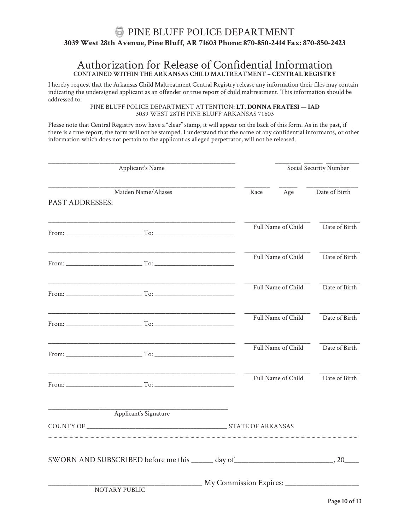#### Authorization for Release of Confidential Information **CONTAINED WITHIN THE ARKANSAS CHILD MALTREATMENT – CENTRAL REGISTRY**

I hereby request that the Arkansas Child Maltreatment Central Registry release any information their files may contain indicating the undersigned applicant as an offender or true report of child maltreatment. This information should be addressed to:

PINE BLUFF POLICE DEPARTMENT ATTENTION: **LT. DONNA FRATESI — IAD** 3039 WEST 28TH PINE BLUFF ARKANSAS 71603

Please note that Central Registry now have a "clear" stamp, it will appear on the back of this form. As in the past, if there is a true report, the form will not be stamped. I understand that the name of any confidential informants, or other information which does not pertain to the applicant as alleged perpetrator, will not be released.

| Applicant's Name |                                               | Social Security Number |                    |               |
|------------------|-----------------------------------------------|------------------------|--------------------|---------------|
| PAST ADDRESSES:  | Maiden Name/Aliases                           | Race                   | Age                | Date of Birth |
|                  |                                               |                        | Full Name of Child | Date of Birth |
|                  | From: $\qquad \qquad$ To: $\qquad \qquad$ To: |                        | Full Name of Child | Date of Birth |
|                  |                                               |                        | Full Name of Child | Date of Birth |
|                  |                                               |                        | Full Name of Child | Date of Birth |
|                  | From: $\Gamma$ To: $\Gamma$                   |                        | Full Name of Child | Date of Birth |
|                  |                                               |                        | Full Name of Child | Date of Birth |
|                  | Applicant's Signature                         |                        |                    |               |
|                  |                                               |                        |                    |               |
|                  |                                               |                        |                    |               |
|                  | NOTARY PUBLIC                                 |                        |                    |               |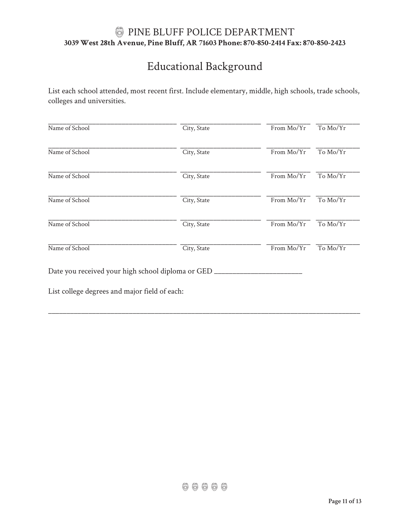## Educational Background

List each school attended, most recent first. Include elementary, middle, high schools, trade schools, colleges and universities.

| Name of School                                      | City, State | From Mo/Yr | To Mo/Yr |  |  |  |
|-----------------------------------------------------|-------------|------------|----------|--|--|--|
| Name of School                                      | City, State | From Mo/Yr | To Mo/Yr |  |  |  |
| Name of School                                      | City, State | From Mo/Yr | To Mo/Yr |  |  |  |
| Name of School                                      | City, State | From Mo/Yr | To Mo/Yr |  |  |  |
| Name of School                                      | City, State | From Mo/Yr | To Mo/Yr |  |  |  |
| Name of School                                      | City, State | From Mo/Yr | To Mo/Yr |  |  |  |
| Date you received your high school diploma or GED _ |             |            |          |  |  |  |
| List college degrees and major field of each:       |             |            |          |  |  |  |

\_\_\_\_\_\_\_\_\_\_\_\_\_\_\_\_\_\_\_\_\_\_\_\_\_\_\_\_\_\_\_\_\_\_\_\_\_\_\_\_\_\_\_\_\_\_\_\_\_\_\_\_\_\_\_\_\_\_\_\_\_\_\_\_\_\_\_\_\_\_\_\_\_\_\_\_\_\_\_\_\_\_\_\_\_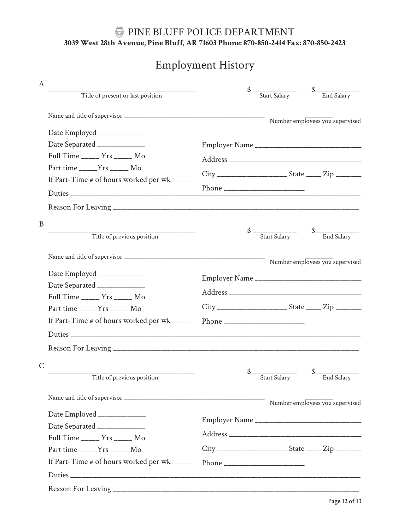## Employment History

| $\mathsf{A}$ |                                             |                                                               |                                 |
|--------------|---------------------------------------------|---------------------------------------------------------------|---------------------------------|
|              | Title of present or last position           | Start Salary                                                  | End Salary                      |
|              |                                             |                                                               | Number employees you supervised |
|              | Date Employed _____________                 |                                                               |                                 |
|              | Date Separated _____________                |                                                               |                                 |
|              | Full Time _______ Yrs ______ Mo             |                                                               |                                 |
|              | Part time ______Yrs ______ Mo               |                                                               |                                 |
|              | If Part-Time # of hours worked per wk _____ |                                                               |                                 |
|              |                                             |                                                               |                                 |
|              |                                             |                                                               |                                 |
| $\mathbf B$  |                                             |                                                               |                                 |
|              | Title of previous position                  | $\frac{\$}{\$$ $\frac{\$}{\$$ $\frac{\$}{\$}$ $\frac{\$}{\$}$ | End Salary                      |
|              |                                             |                                                               | Number employees you supervised |
|              | Date Employed _____________                 |                                                               |                                 |
|              | Date Separated ______________               |                                                               |                                 |
|              | Full Time _______ Yrs ______ Mo             |                                                               |                                 |
|              | Part time ______Yrs ______ Mo               |                                                               |                                 |
|              | If Part-Time # of hours worked per wk _____ |                                                               |                                 |
|              |                                             |                                                               |                                 |
|              |                                             |                                                               |                                 |
| $\mathsf{C}$ |                                             |                                                               |                                 |
|              | Title of previous position                  | $\frac{\$}{\$}$ $\frac{\$}{\$star}$ $\frac{\$star}}{\$star}$  | End Salary                      |
|              |                                             |                                                               | Number employees you supervised |
|              | Date Employed _____________                 |                                                               |                                 |
|              | Date Separated ______________               |                                                               |                                 |
|              | Full Time _______ Yrs ______ Mo             |                                                               |                                 |
|              | Part time ______Yrs ______ Mo               |                                                               |                                 |
|              | If Part-Time # of hours worked per wk _____ |                                                               |                                 |
|              |                                             |                                                               |                                 |
|              |                                             |                                                               |                                 |